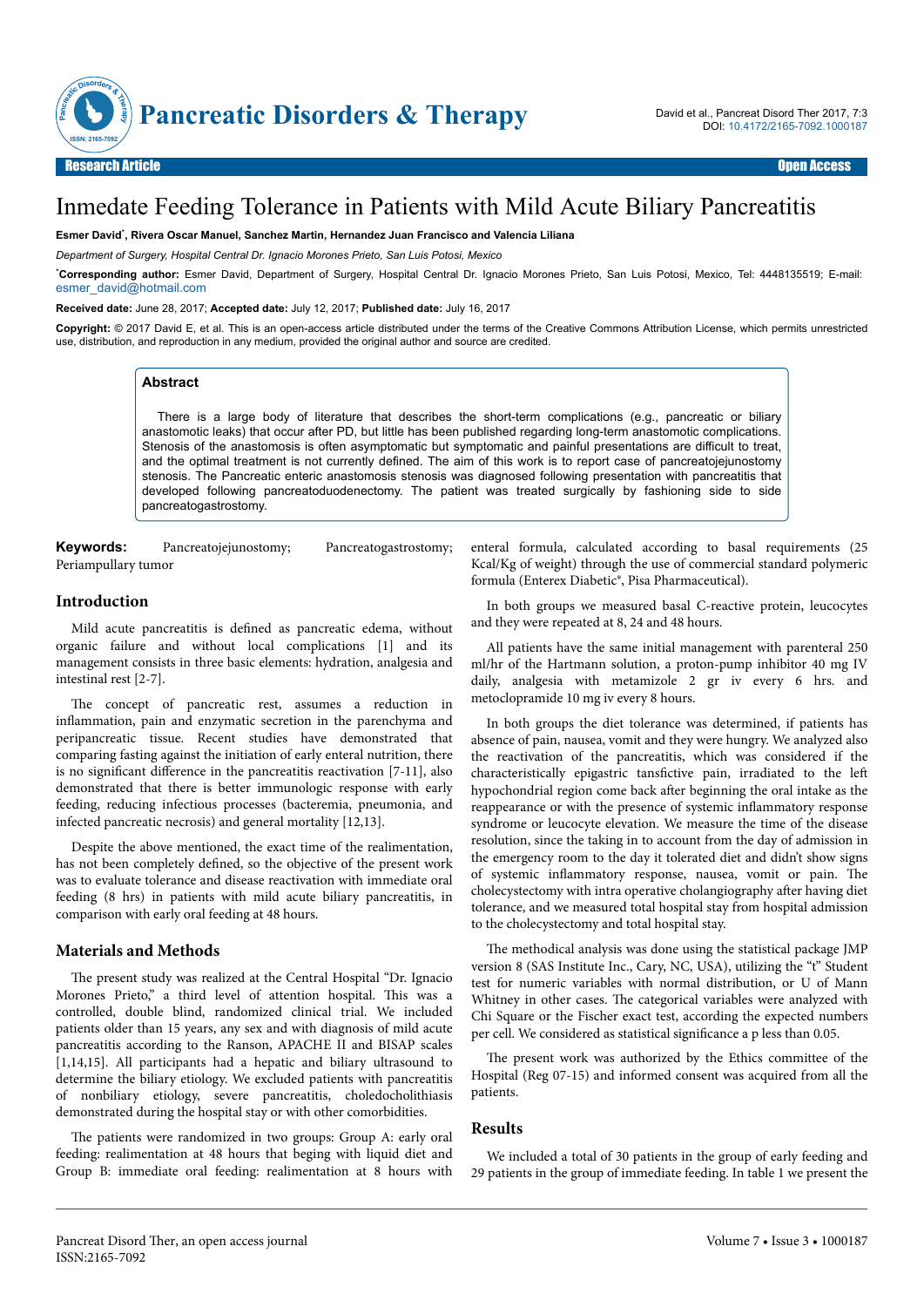

# Inmedate Feeding Tolerance in Patients with Mild Acute Biliary Pancreatitis

#### **Esmer David**\* **, Rivera Oscar Manuel, Sanchez Martin, Hernandez Juan Francisco and Valencia Liliana**

*Department of Surgery, Hospital Central Dr. Ignacio Morones Prieto, San Luis Potosi, Mexico*

\***Corresponding author:** Esmer David, Department of Surgery, Hospital Central Dr. Ignacio Morones Prieto, San Luis Potosi, Mexico, Tel: 4448135519; E-mail: [esmer\\_david@hotmail.com](mailto:esmer_david@hotmail.com)

#### **Received date:** June 28, 2017; **Accepted date:** July 12, 2017; **Published date:** July 16, 2017

**Copyright:** © 2017 David E, et al. This is an open-access article distributed under the terms of the Creative Commons Attribution License, which permits unrestricted use, distribution, and reproduction in any medium, provided the original author and source are credited.

## **Abstract**

There is a large body of literature that describes the short-term complications (e.g., pancreatic or biliary anastomotic leaks) that occur after PD, but little has been published regarding long-term anastomotic complications. Stenosis of the anastomosis is often asymptomatic but symptomatic and painful presentations are difficult to treat, and the optimal treatment is not currently defined. The aim of this work is to report case of pancreatojejunostomy stenosis. The Pancreatic enteric anastomosis stenosis was diagnosed following presentation with pancreatitis that developed following pancreatoduodenectomy. The patient was treated surgically by fashioning side to side pancreatogastrostomy.

**Keywords:** Pancreatojejunostomy; Pancreatogastrostomy; Periampullary tumor

### **Introduction**

Mild acute pancreatitis is defined as pancreatic edema, without organic failure and without local complications [1] and its management consists in three basic elements: hydration, analgesia and intestinal rest [2-7].

The concept of pancreatic rest, assumes a reduction in inflammation, pain and enzymatic secretion in the parenchyma and peripancreatic tissue. Recent studies have demonstrated that comparing fasting against the initiation of early enteral nutrition, there is no significant difference in the pancreatitis reactivation [7-11], also demonstrated that there is better immunologic response with early feeding, reducing infectious processes (bacteremia, pneumonia, and infected pancreatic necrosis) and general mortality [12,13].

Despite the above mentioned, the exact time of the realimentation, has not been completely defined, so the objective of the present work was to evaluate tolerance and disease reactivation with immediate oral feeding (8 hrs) in patients with mild acute biliary pancreatitis, in comparison with early oral feeding at 48 hours.

#### **Materials and Methods**

The present study was realized at the Central Hospital "Dr. Ignacio Morones Prieto," a third level of attention hospital. Нis was a controlled, double blind, randomized clinical trial. We included patients older than 15 years, any sex and with diagnosis of mild acute pancreatitis according to the Ranson, APACHE II and BISAP scales [1,14,15]. All participants had a hepatic and biliary ultrasound to determine the biliary etiology. We excluded patients with pancreatitis of nonbiliary etiology, severe pancreatitis, choledocholithiasis demonstrated during the hospital stay or with other comorbidities.

The patients were randomized in two groups: Group A: early oral feeding: realimentation at 48 hours that beging with liquid diet and Group B: immediate oral feeding: realimentation at 8 hours with

enteral formula, calculated according to basal requirements (25 Kcal/Kg of weight) through the use of commercial standard polymeric formula (Enterex Diabetic®, Pisa Pharmaceutical).

In both groups we measured basal C-reactive protein, leucocytes and they were repeated at 8, 24 and 48 hours.

All patients have the same initial management with parenteral 250 ml/hr of the Hartmann solution, a proton-pump inhibitor 40 mg IV daily, analgesia with metamizole 2 gr iv every 6 hrs. and metoclopramide 10 mg iv every 8 hours.

In both groups the diet tolerance was determined, if patients has absence of pain, nausea, vomit and they were hungry. We analyzed also the reactivation of the pancreatitis, which was considered if the characteristically epigastric tansfictive pain, irradiated to the left hypochondrial region come back after beginning the oral intake as the reappearance or with the presence of systemic inflammatory response syndrome or leucocyte elevation. We measure the time of the disease resolution, since the taking in to account from the day of admission in the emergency room to the day it tolerated diet and didn't show signs of systemic inflammatory response, nausea, vomit or pain. The cholecystectomy with intra operative cholangiography after having diet tolerance, and we measured total hospital stay from hospital admission to the cholecystectomy and total hospital stay.

The methodical analysis was done using the statistical package JMP version 8 (SAS Institute Inc., Cary, NC, USA), utilizing the "t" Student test for numeric variables with normal distribution, or U of Mann Whitney in other cases. Нe categorical variables were analyzed with Chi Square or the Fischer exact test, according the expected numbers per cell. We considered as statistical significance a p less than 0.05.

The present work was authorized by the Ethics committee of the Hospital (Reg 07-15) and informed consent was acquired from all the patients.

## **Results**

We included a total of 30 patients in the group of early feeding and 29 patients in the group of immediate feeding. In table 1 we present the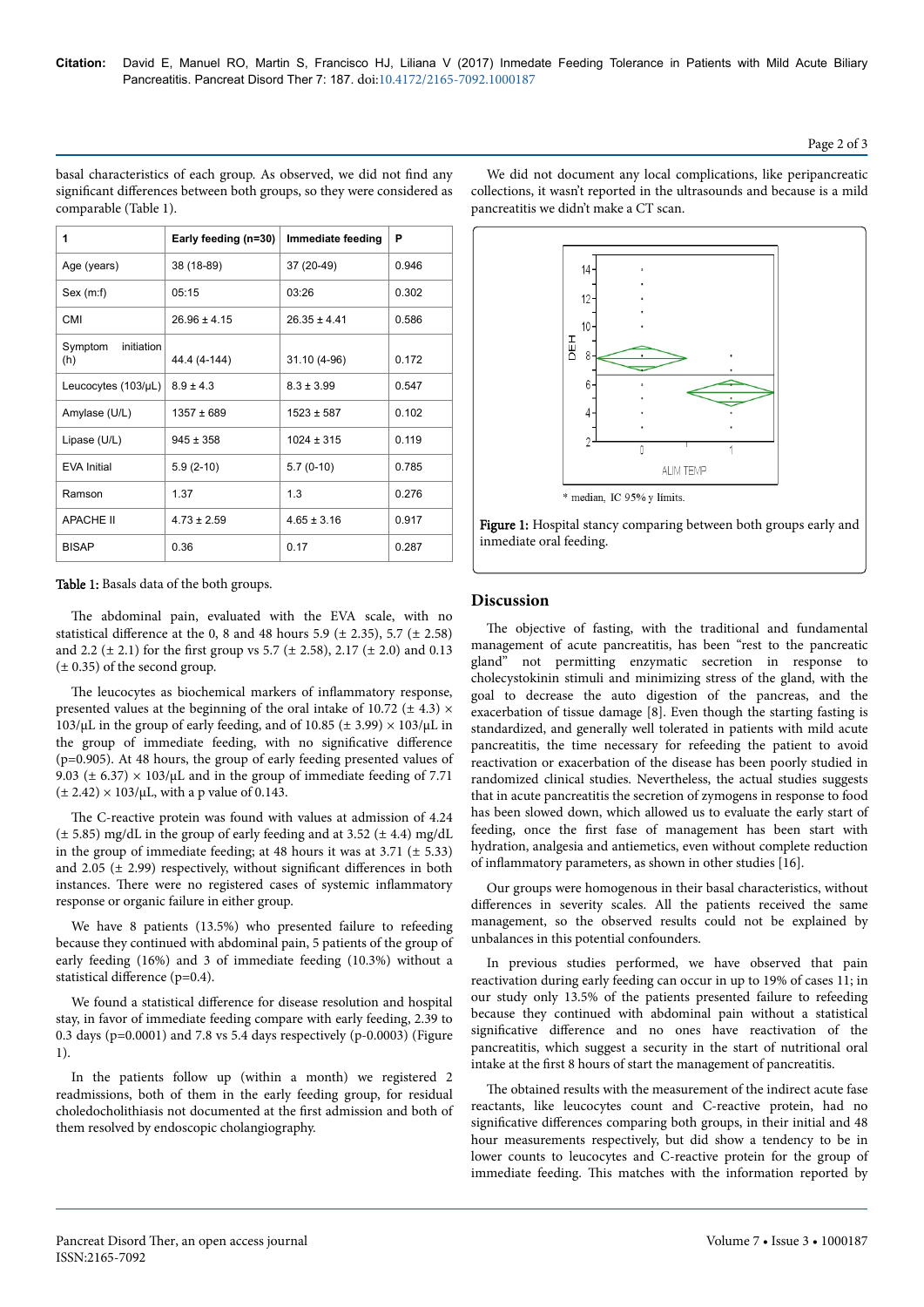basal characteristics of each group. As observed, we did not find any significant differences between both groups, so they were considered as comparable (Table 1).

| 1                            | Early feeding (n=30) | Immediate feeding | P     |
|------------------------------|----------------------|-------------------|-------|
| Age (years)                  | 38 (18-89)           | 37 (20-49)        | 0.946 |
| Sex (m: f)                   | 05:15                | 03:26             | 0.302 |
| <b>CMI</b>                   | $26.96 \pm 4.15$     | $26.35 \pm 4.41$  | 0.586 |
| initiation<br>Symptom<br>(h) | 44.4 (4-144)         | 31.10 (4-96)      | 0.172 |
| Leucocytes (103/µL)          | $8.9 \pm 4.3$        | $8.3 \pm 3.99$    | 0.547 |
| Amylase (U/L)                | $1357 \pm 689$       | $1523 \pm 587$    | 0.102 |
| Lipase (U/L)                 | $945 \pm 358$        | $1024 \pm 315$    | 0.119 |
| <b>EVA Initial</b>           | $5.9(2-10)$          | $5.7(0-10)$       | 0.785 |
| Ramson                       | 1.37                 | 1.3               | 0.276 |
| <b>APACHE II</b>             | $4.73 \pm 2.59$      | $4.65 \pm 3.16$   | 0.917 |
| <b>BISAP</b>                 | 0.36                 | 0.17              | 0.287 |

Table 1: Basals data of the both groups.

The abdominal pain, evaluated with the EVA scale, with no statistical difference at the 0, 8 and 48 hours 5.9 ( $\pm$  2.35), 5.7 ( $\pm$  2.58) and 2.2 ( $\pm$  2.1) for the first group vs 5.7 ( $\pm$  2.58), 2.17 ( $\pm$  2.0) and 0.13  $(\pm 0.35)$  of the second group.

The leucocytes as biochemical markers of inflammatory response, presented values at the beginning of the oral intake of 10.72 ( $\pm$  4.3)  $\times$  $103/\mu$ L in the group of early feeding, and of 10.85 ( $\pm$  3.99)  $\times$  103/ $\mu$ L in the group of immediate feeding, with no significative difference (p=0.905). At 48 hours, the group of early feeding presented values of 9.03 ( $\pm$  6.37)  $\times$  103/ $\mu$ L and in the group of immediate feeding of 7.71  $(\pm 2.42) \times 103/\mu L$ , with a p value of 0.143.

The C-reactive protein was found with values at admission of 4.24  $(\pm 5.85)$  mg/dL in the group of early feeding and at 3.52 ( $\pm$  4.4) mg/dL in the group of immediate feeding; at 48 hours it was at 3.71 ( $\pm$  5.33) and 2.05 ( $\pm$  2.99) respectively, without significant differences in both instances. There were no registered cases of systemic inflammatory response or organic failure in either group.

We have 8 patients (13.5%) who presented failure to refeeding because they continued with abdominal pain, 5 patients of the group of early feeding (16%) and 3 of immediate feeding (10.3%) without a statistical difference ( $p=0.4$ ).

We found a statistical difference for disease resolution and hospital stay, in favor of immediate feeding compare with early feeding, 2.39 to 0.3 days (p=0.0001) and 7.8 vs 5.4 days respectively (p-0.0003) (Figure 1).

In the patients follow up (within a month) we registered 2 readmissions, both of them in the early feeding group, for residual choledocholithiasis not documented at the first admission and both of them resolved by endoscopic cholangiography.

We did not document any local complications, like peripancreatic collections, it wasn't reported in the ultrasounds and because is a mild pancreatitis we didn't make a CT scan.



Figure 1: Hospital stancy comparing between both groups early and inmediate oral feeding.

#### **Discussion**

The objective of fasting, with the traditional and fundamental management of acute pancreatitis, has been "rest to the pancreatic gland" not permitting enzymatic secretion in response to cholecystokinin stimuli and minimizing stress of the gland, with the goal to decrease the auto digestion of the pancreas, and the exacerbation of tissue damage [8]. Even though the starting fasting is standardized, and generally well tolerated in patients with mild acute pancreatitis, the time necessary for refeeding the patient to avoid reactivation or exacerbation of the disease has been poorly studied in randomized clinical studies. Nevertheless, the actual studies suggests that in acute pancreatitis the secretion of zymogens in response to food has been slowed down, which allowed us to evaluate the early start of feeding, once the first fase of management has been start with hydration, analgesia and antiemetics, even without complete reduction of inflammatory parameters, as shown in other studies [16].

Our groups were homogenous in their basal characteristics, without differences in severity scales. All the patients received the same management, so the observed results could not be explained by unbalances in this potential confounders.

In previous studies performed, we have observed that pain reactivation during early feeding can occur in up to 19% of cases 11; in our study only 13.5% of the patients presented failure to refeeding because they continued with abdominal pain without a statistical significative difference and no ones have reactivation of the pancreatitis, which suggest a security in the start of nutritional oral intake at the first 8 hours of start the management of pancreatitis.

The obtained results with the measurement of the indirect acute fase reactants, like leucocytes count and C-reactive protein, had no significative differences comparing both groups, in their initial and 48 hour measurements respectively, but did show a tendency to be in lower counts to leucocytes and C-reactive protein for the group of immediate feeding. Нis matches with the information reported by